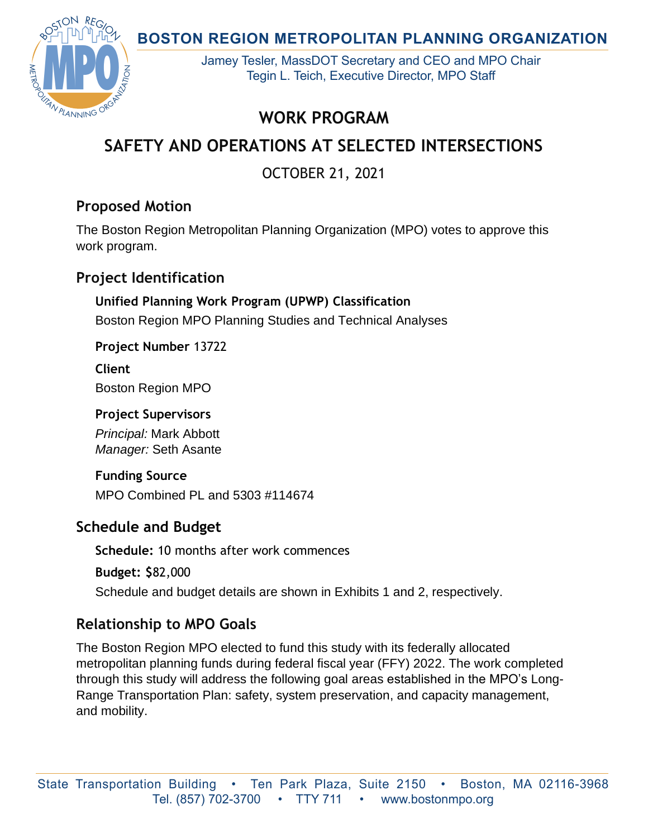**BOSTON REGION METROPOLITAN PLANNING ORGANIZATION** 



Jamey Tesler, MassDOT Secretary and CEO and MPO Chair Tegin L. Teich, Executive Director, MPO Staff

# **WORK PROGRAM**

# **SAFETY AND OPERATIONS AT SELECTED INTERSECTIONS**

OCTOBER 21, 2021

# **Proposed Motion**

The Boston Region Metropolitan Planning Organization (MPO) votes to approve this work program.

# **Project Identification**

**Unified Planning Work Program (UPWP) Classification** Boston Region MPO Planning Studies and Technical Analyses

### **Project Number** 13722

**Client** Boston Region MPO

#### **Project Supervisors**

*Principal:* Mark Abbott *Manager:* Seth Asante

## **Funding Source**

MPO Combined PL and 5303 #114674

## **Schedule and Budget**

**Schedule:** 10 months after work commences

**Budget: \$**82,000

Schedule and budget details are shown in Exhibits 1 and 2, respectively.

# **Relationship to MPO Goals**

The Boston Region MPO elected to fund this study with its federally allocated metropolitan planning funds during federal fiscal year (FFY) 2022. The work completed through this study will address the following goal areas established in the MPO's Long-Range Transportation Plan: safety, system preservation, and capacity management, and mobility.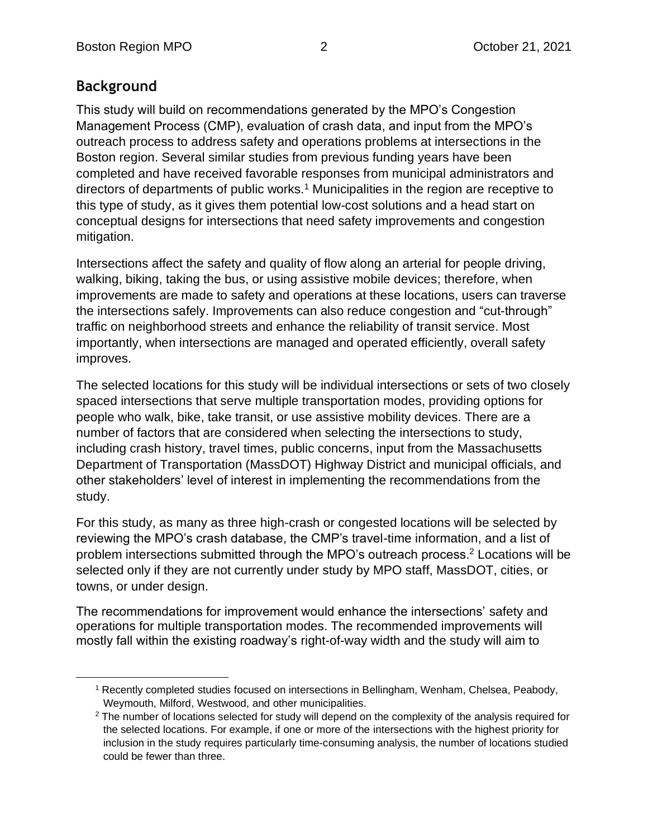# **Background**

This study will build on recommendations generated by the MPO's Congestion Management Process (CMP), evaluation of crash data, and input from the MPO's outreach process to address safety and operations problems at intersections in the Boston region. Several similar studies from previous funding years have been completed and have received favorable responses from municipal administrators and directors of departments of public works.<sup>1</sup> Municipalities in the region are receptive to this type of study, as it gives them potential low-cost solutions and a head start on conceptual designs for intersections that need safety improvements and congestion mitigation.

Intersections affect the safety and quality of flow along an arterial for people driving, walking, biking, taking the bus, or using assistive mobile devices; therefore, when improvements are made to safety and operations at these locations, users can traverse the intersections safely. Improvements can also reduce congestion and "cut-through" traffic on neighborhood streets and enhance the reliability of transit service. Most importantly, when intersections are managed and operated efficiently, overall safety improves.

The selected locations for this study will be individual intersections or sets of two closely spaced intersections that serve multiple transportation modes, providing options for people who walk, bike, take transit, or use assistive mobility devices. There are a number of factors that are considered when selecting the intersections to study, including crash history, travel times, public concerns, input from the Massachusetts Department of Transportation (MassDOT) Highway District and municipal officials, and other stakeholders' level of interest in implementing the recommendations from the study.

For this study, as many as three high-crash or congested locations will be selected by reviewing the MPO's crash database, the CMP's travel-time information, and a list of problem intersections submitted through the MPO's outreach process.<sup>2</sup> Locations will be selected only if they are not currently under study by MPO staff, MassDOT, cities, or towns, or under design.

The recommendations for improvement would enhance the intersections' safety and operations for multiple transportation modes. The recommended improvements will mostly fall within the existing roadway's right-of-way width and the study will aim to

<sup>1</sup> Recently completed studies focused on intersections in Bellingham, Wenham, Chelsea, Peabody, Weymouth, Milford, Westwood, and other municipalities.

 $2$  The number of locations selected for study will depend on the complexity of the analysis required for the selected locations. For example, if one or more of the intersections with the highest priority for inclusion in the study requires particularly time-consuming analysis, the number of locations studied could be fewer than three.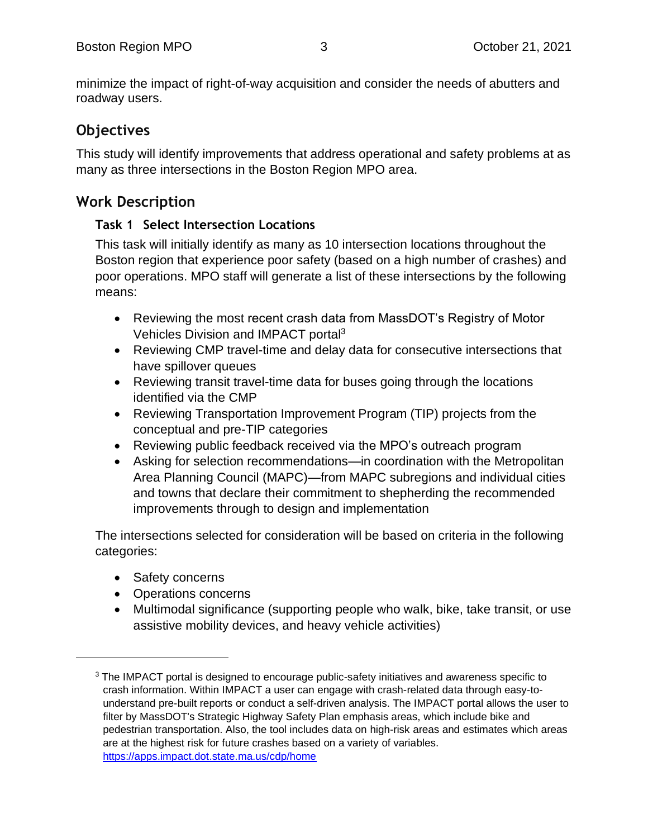minimize the impact of right-of-way acquisition and consider the needs of abutters and roadway users.

# **Objectives**

This study will identify improvements that address operational and safety problems at as many as three intersections in the Boston Region MPO area.

# **Work Description**

#### **Task 1 Select Intersection Locations**

This task will initially identify as many as 10 intersection locations throughout the Boston region that experience poor safety (based on a high number of crashes) and poor operations. MPO staff will generate a list of these intersections by the following means:

- Reviewing the most recent crash data from MassDOT's Registry of Motor Vehicles Division and IMPACT portal<sup>3</sup>
- Reviewing CMP travel-time and delay data for consecutive intersections that have spillover queues
- Reviewing transit travel-time data for buses going through the locations identified via the CMP
- Reviewing Transportation Improvement Program (TIP) projects from the conceptual and pre-TIP categories
- Reviewing public feedback received via the MPO's outreach program
- Asking for selection recommendations—in coordination with the Metropolitan Area Planning Council (MAPC)—from MAPC subregions and individual cities and towns that declare their commitment to shepherding the recommended improvements through to design and implementation

The intersections selected for consideration will be based on criteria in the following categories:

- Safety concerns
- Operations concerns
- Multimodal significance (supporting people who walk, bike, take transit, or use assistive mobility devices, and heavy vehicle activities)

<sup>&</sup>lt;sup>3</sup> The IMPACT portal is designed to encourage public-safety initiatives and awareness specific to crash information. Within IMPACT a user can engage with crash-related data through easy-tounderstand pre-built reports or conduct a self-driven analysis. The IMPACT portal allows the user to filter by MassDOT's Strategic Highway Safety Plan emphasis areas, which include bike and pedestrian transportation. Also, the tool includes data on high-risk areas and estimates which areas are at the highest risk for future crashes based on a variety of variables. <https://apps.impact.dot.state.ma.us/cdp/home>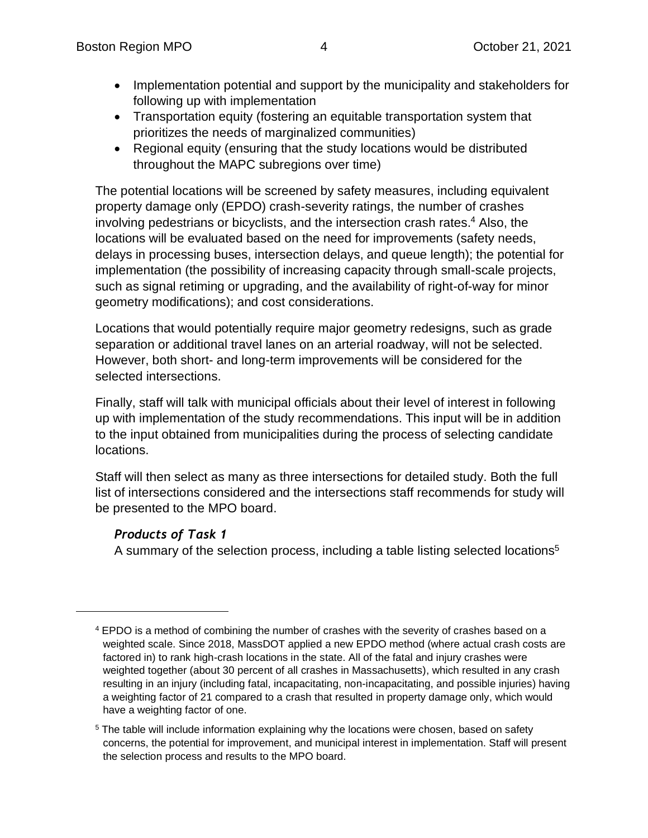- Implementation potential and support by the municipality and stakeholders for following up with implementation
- Transportation equity (fostering an equitable transportation system that prioritizes the needs of marginalized communities)
- Regional equity (ensuring that the study locations would be distributed throughout the MAPC subregions over time)

The potential locations will be screened by safety measures, including equivalent property damage only (EPDO) crash-severity ratings, the number of crashes involving pedestrians or bicyclists, and the intersection crash rates. <sup>4</sup> Also, the locations will be evaluated based on the need for improvements (safety needs, delays in processing buses, intersection delays, and queue length); the potential for implementation (the possibility of increasing capacity through small-scale projects, such as signal retiming or upgrading, and the availability of right-of-way for minor geometry modifications); and cost considerations.

Locations that would potentially require major geometry redesigns, such as grade separation or additional travel lanes on an arterial roadway, will not be selected. However, both short- and long-term improvements will be considered for the selected intersections.

Finally, staff will talk with municipal officials about their level of interest in following up with implementation of the study recommendations. This input will be in addition to the input obtained from municipalities during the process of selecting candidate locations.

Staff will then select as many as three intersections for detailed study. Both the full list of intersections considered and the intersections staff recommends for study will be presented to the MPO board.

#### *Products of Task 1*

A summary of the selection process, including a table listing selected locations<sup>5</sup>

 $4$  EPDO is a method of combining the number of crashes with the severity of crashes based on a weighted scale. Since 2018, MassDOT applied a new EPDO method (where actual crash costs are factored in) to rank high-crash locations in the state. All of the fatal and injury crashes were weighted together (about 30 percent of all crashes in Massachusetts), which resulted in any crash resulting in an injury (including fatal, incapacitating, non-incapacitating, and possible injuries) having a weighting factor of 21 compared to a crash that resulted in property damage only, which would have a weighting factor of one.

 $5$  The table will include information explaining why the locations were chosen, based on safety concerns, the potential for improvement, and municipal interest in implementation. Staff will present the selection process and results to the MPO board.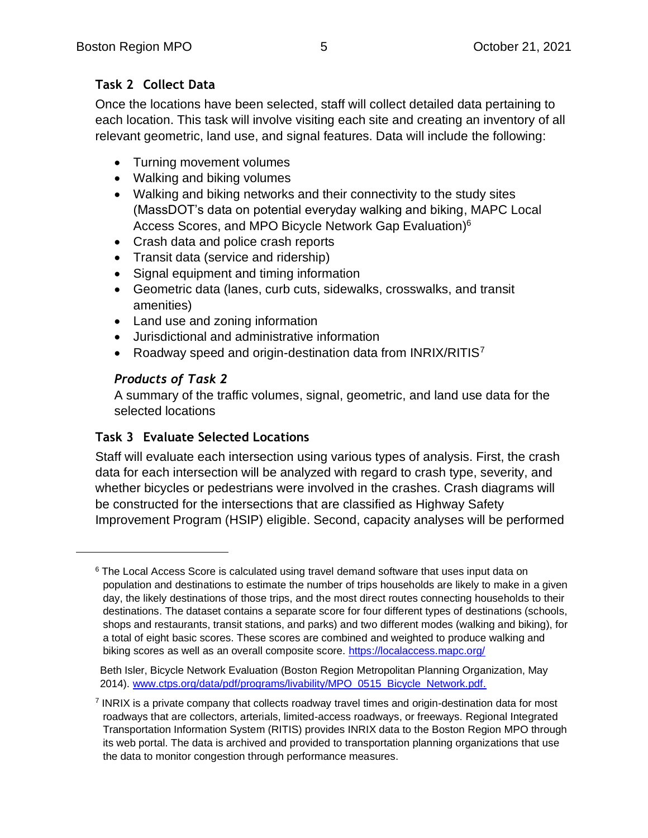### **Task 2 Collect Data**

Once the locations have been selected, staff will collect detailed data pertaining to each location. This task will involve visiting each site and creating an inventory of all relevant geometric, land use, and signal features. Data will include the following:

- Turning movement volumes
- Walking and biking volumes
- Walking and biking networks and their connectivity to the study sites (MassDOT's data on potential everyday walking and biking, MAPC Local Access Scores, and MPO Bicycle Network Gap Evaluation)<sup>6</sup>
- Crash data and police crash reports
- Transit data (service and ridership)
- Signal equipment and timing information
- Geometric data (lanes, curb cuts, sidewalks, crosswalks, and transit amenities)
- Land use and zoning information
- Jurisdictional and administrative information
- Roadway speed and origin-destination data from INRIX/RITIS7

#### *Products of Task 2*

A summary of the traffic volumes, signal, geometric, and land use data for the selected locations

#### **Task 3 Evaluate Selected Locations**

Staff will evaluate each intersection using various types of analysis. First, the crash data for each intersection will be analyzed with regard to crash type, severity, and whether bicycles or pedestrians were involved in the crashes. Crash diagrams will be constructed for the intersections that are classified as Highway Safety Improvement Program (HSIP) eligible. Second, capacity analyses will be performed

 $6$  The Local Access Score is calculated using travel demand software that uses input data on population and destinations to estimate the number of trips households are likely to make in a given day, the likely destinations of those trips, and the most direct routes connecting households to their destinations. The dataset contains a separate score for four different types of destinations (schools, shops and restaurants, transit stations, and parks) and two different modes (walking and biking), for a total of eight basic scores. These scores are combined and weighted to produce walking and biking scores as well as an overall composite score. <https://localaccess.mapc.org/>

Beth Isler, Bicycle Network Evaluation (Boston Region Metropolitan Planning Organization, May 2014). [www.ctps.org/data/pdf/programs/livability/MPO\\_0515\\_Bicycle\\_Network.pdf.](https://www.ctps.org/data/pdf/programs/livability/MPO_0515_Bicycle_Network.pdf)

<sup>&</sup>lt;sup>7</sup> INRIX is a private company that collects roadway travel times and origin-destination data for most roadways that are collectors, arterials, limited-access roadways, or freeways. Regional Integrated Transportation Information System (RITIS) provides INRIX data to the Boston Region MPO through its web portal. The data is archived and provided to transportation planning organizations that use the data to monitor congestion through performance measures.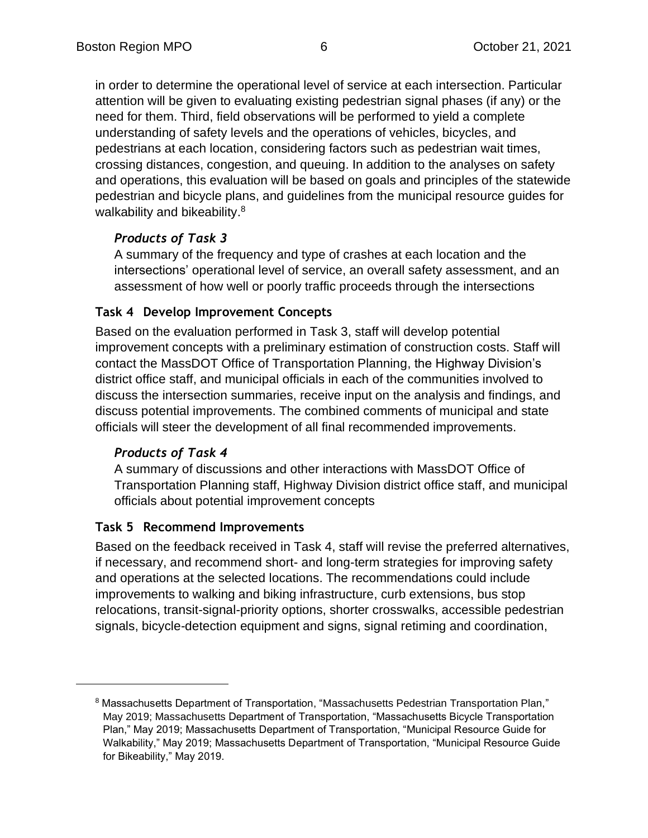in order to determine the operational level of service at each intersection. Particular attention will be given to evaluating existing pedestrian signal phases (if any) or the need for them. Third, field observations will be performed to yield a complete understanding of safety levels and the operations of vehicles, bicycles, and pedestrians at each location, considering factors such as pedestrian wait times, crossing distances, congestion, and queuing. In addition to the analyses on safety and operations, this evaluation will be based on goals and principles of the statewide pedestrian and bicycle plans, and guidelines from the municipal resource guides for walkability and bikeability.<sup>8</sup>

### *Products of Task 3*

A summary of the frequency and type of crashes at each location and the intersections' operational level of service, an overall safety assessment, and an assessment of how well or poorly traffic proceeds through the intersections

#### **Task 4 Develop Improvement Concepts**

Based on the evaluation performed in Task 3, staff will develop potential improvement concepts with a preliminary estimation of construction costs. Staff will contact the MassDOT Office of Transportation Planning, the Highway Division's district office staff, and municipal officials in each of the communities involved to discuss the intersection summaries, receive input on the analysis and findings, and discuss potential improvements. The combined comments of municipal and state officials will steer the development of all final recommended improvements.

#### *Products of Task 4*

A summary of discussions and other interactions with MassDOT Office of Transportation Planning staff, Highway Division district office staff, and municipal officials about potential improvement concepts

#### **Task 5 Recommend Improvements**

Based on the feedback received in Task 4, staff will revise the preferred alternatives, if necessary, and recommend short- and long-term strategies for improving safety and operations at the selected locations. The recommendations could include improvements to walking and biking infrastructure, curb extensions, bus stop relocations, transit-signal-priority options, shorter crosswalks, accessible pedestrian signals, bicycle-detection equipment and signs, signal retiming and coordination,

<sup>&</sup>lt;sup>8</sup> Massachusetts Department of Transportation, "Massachusetts Pedestrian Transportation Plan," May 2019; Massachusetts Department of Transportation, "Massachusetts Bicycle Transportation Plan," May 2019; Massachusetts Department of Transportation, "Municipal Resource Guide for Walkability," May 2019; Massachusetts Department of Transportation, "Municipal Resource Guide for Bikeability," May 2019.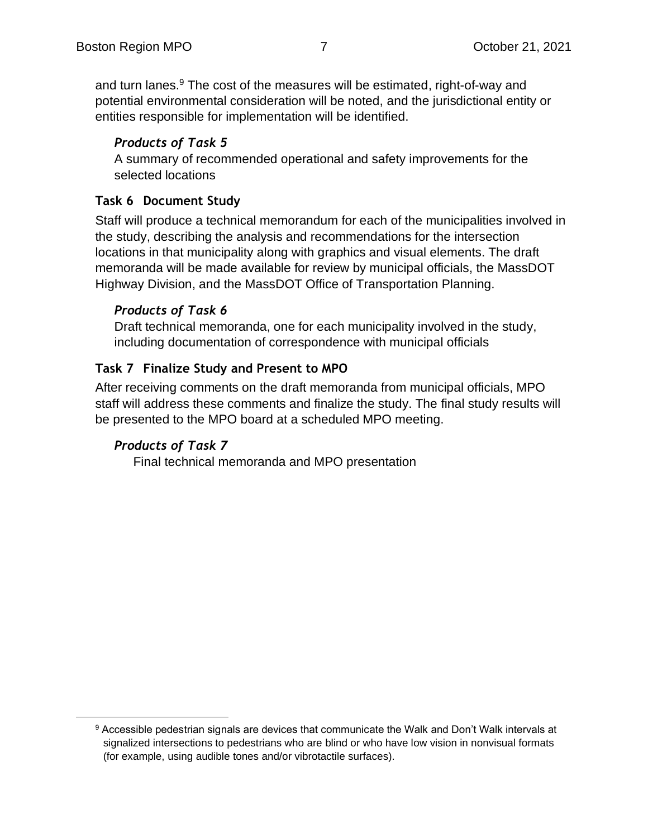and turn lanes. $9$  The cost of the measures will be estimated, right-of-way and potential environmental consideration will be noted, and the jurisdictional entity or entities responsible for implementation will be identified.

#### *Products of Task 5*

A summary of recommended operational and safety improvements for the selected locations

#### **Task 6 Document Study**

Staff will produce a technical memorandum for each of the municipalities involved in the study, describing the analysis and recommendations for the intersection locations in that municipality along with graphics and visual elements. The draft memoranda will be made available for review by municipal officials, the MassDOT Highway Division, and the MassDOT Office of Transportation Planning.

#### *Products of Task 6*

Draft technical memoranda, one for each municipality involved in the study, including documentation of correspondence with municipal officials

#### **Task 7 Finalize Study and Present to MPO**

After receiving comments on the draft memoranda from municipal officials, MPO staff will address these comments and finalize the study. The final study results will be presented to the MPO board at a scheduled MPO meeting.

### *Products of Task 7*

Final technical memoranda and MPO presentation

 $9$  Accessible pedestrian signals are devices that communicate the Walk and Don't Walk intervals at signalized intersections to pedestrians who are blind or who have low vision in nonvisual formats (for example, using audible tones and/or vibrotactile surfaces).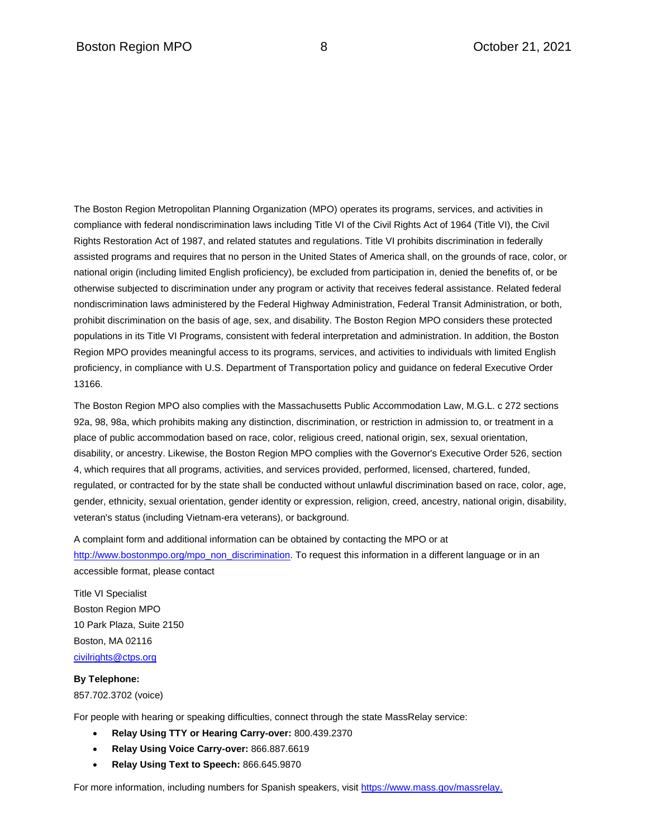The Boston Region Metropolitan Planning Organization (MPO) operates its programs, services, and activities in compliance with federal nondiscrimination laws including Title VI of the Civil Rights Act of 1964 (Title VI), the Civil Rights Restoration Act of 1987, and related statutes and regulations. Title VI prohibits discrimination in federally assisted programs and requires that no person in the United States of America shall, on the grounds of race, color, or national origin (including limited English proficiency), be excluded from participation in, denied the benefits of, or be otherwise subjected to discrimination under any program or activity that receives federal assistance. Related federal nondiscrimination laws administered by the Federal Highway Administration, Federal Transit Administration, or both, prohibit discrimination on the basis of age, sex, and disability. The Boston Region MPO considers these protected populations in its Title VI Programs, consistent with federal interpretation and administration. In addition, the Boston Region MPO provides meaningful access to its programs, services, and activities to individuals with limited English proficiency, in compliance with U.S. Department of Transportation policy and guidance on federal Executive Order 13166.

The Boston Region MPO also complies with the Massachusetts Public Accommodation Law, M.G.L. c 272 sections 92a, 98, 98a, which prohibits making any distinction, discrimination, or restriction in admission to, or treatment in a place of public accommodation based on race, color, religious creed, national origin, sex, sexual orientation, disability, or ancestry. Likewise, the Boston Region MPO complies with the Governor's Executive Order 526, section 4, which requires that all programs, activities, and services provided, performed, licensed, chartered, funded, regulated, or contracted for by the state shall be conducted without unlawful discrimination based on race, color, age, gender, ethnicity, sexual orientation, gender identity or expression, religion, creed, ancestry, national origin, disability, veteran's status (including Vietnam-era veterans), or background.

A complaint form and additional information can be obtained by contacting the MPO or at [http://www.bostonmpo.org/mpo\\_non\\_discrimination.](http://www.bostonmpo.org/mpo_non_discrimination) To request this information in a different language or in an accessible format, please contact

Title VI Specialist Boston Region MPO 10 Park Plaza, Suite 2150 Boston, MA 02116 [civilrights@ctps.org](mailto:civilrights@ctps.org)

#### **By Telephone:**

857.702.3702 (voice)

For people with hearing or speaking difficulties, connect through the state MassRelay service:

- **Relay Using TTY or Hearing Carry-over:** 800.439.2370
- **Relay Using Voice Carry-over:** 866.887.6619
- **Relay Using Text to Speech:** 866.645.9870

For more information, including numbers for Spanish speakers, visit [https://www.mass.gov/massrelay.](https://www.mass.gov/massrelay)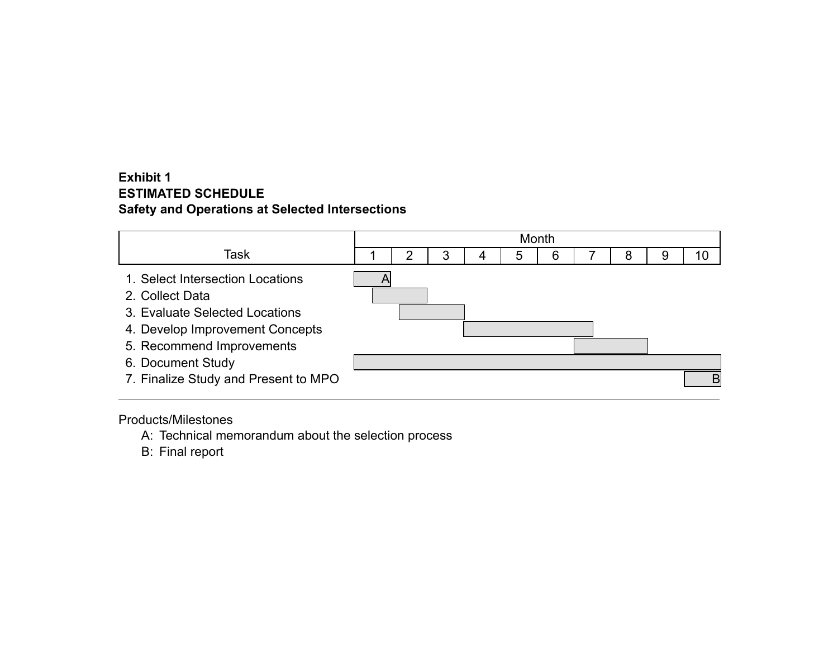#### **Exhibit 1 ESTIMATED SCHEDULE Safety and Operations at Selected Intersections**



Products/Milestones

A: Technical memorandum about the selection process

B: Final report